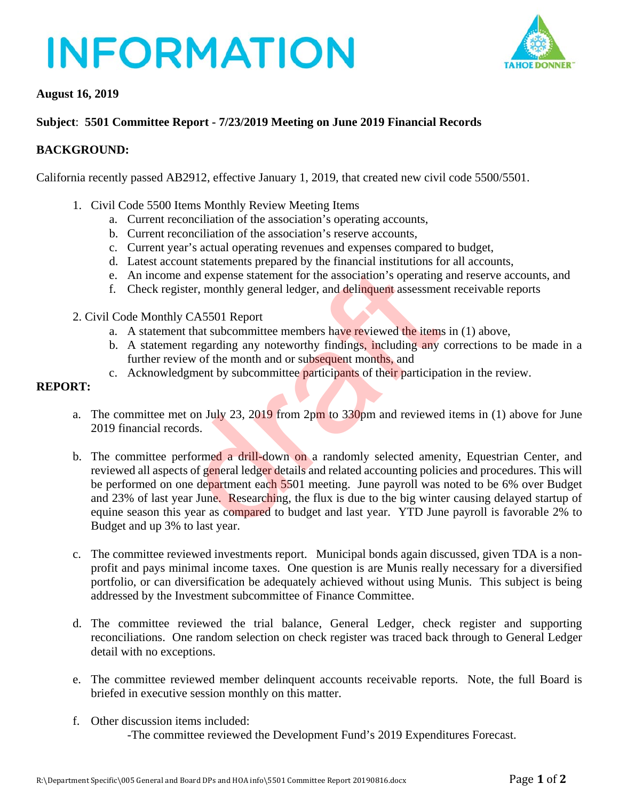# **INFORMATION**



#### **August 16, 2019**

### **Subject**: **5501 Committee Report - 7/23/2019 Meeting on June 2019 Financial Records**

#### **BACKGROUND:**

California recently passed AB2912, effective January 1, 2019, that created new civil code 5500/5501.

- 1. Civil Code 5500 Items Monthly Review Meeting Items
	- a. Current reconciliation of the association's operating accounts,
	- b. Current reconciliation of the association's reserve accounts,
	- c. Current year's actual operating revenues and expenses compared to budget,
	- d. Latest account statements prepared by the financial institutions for all accounts,
	- e. An income and expense statement for the association's operating and reserve accounts, and
	- f. Check register, monthly general ledger, and delinquent assessment receivable reports
- 2. Civil Code Monthly CA5501 Report
	- a. A statement that subcommittee members have reviewed the items in (1) above,
	- b. A statement regarding any noteworthy findings, including any corrections to be made in a further review of the month and or subsequent months, and
	- c. Acknowledgment by subcommittee participants of their participation in the review.

#### **REPORT:**

- a. The committee met on July 23, 2019 from 2pm to  $330$ pm and reviewed items in (1) above for June 2019 financial records.
- b. The committee performed a drill-down on a randomly selected amenity, Equestrian Center, and reviewed all aspects of general ledger details and related accounting policies and procedures. This will be performed on one department each 5501 meeting. June payroll was noted to be 6% over Budget and 23% of last year June. Researching, the flux is due to the big winter causing delayed startup of equine season this year as compared to budget and last year. YTD June payroll is favorable 2% to Budget and up 3% to last year. e and expense statement for the association's operating<br>gister, monthly general ledger, and delinquent assessmer<br>gister, monthly general ledger, and delinquent assessmer<br>by CA5501 Report<br>and that subcommittee members have
- c. The committee reviewed investments report. Municipal bonds again discussed, given TDA is a nonprofit and pays minimal income taxes. One question is are Munis really necessary for a diversified portfolio, or can diversification be adequately achieved without using Munis. This subject is being addressed by the Investment subcommittee of Finance Committee.
- d. The committee reviewed the trial balance, General Ledger, check register and supporting reconciliations. One random selection on check register was traced back through to General Ledger detail with no exceptions.
- e. The committee reviewed member delinquent accounts receivable reports. Note, the full Board is briefed in executive session monthly on this matter.
- f. Other discussion items included: -The committee reviewed the Development Fund's 2019 Expenditures Forecast.